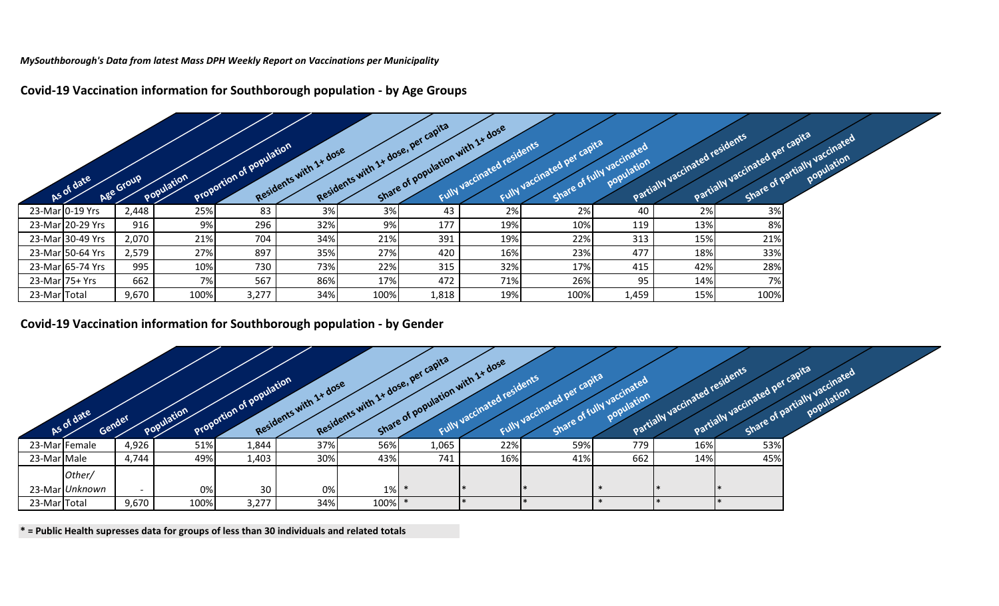*MySouthborough's Data from latest Mass DPH Weekly Report on Vaccinations per Municipality*

|                | As of date       | Age Group | Population | Proportion of population | Residents with 1+ dose |      | Residents with 1+ dose, per capital<br>Share of population with 1+ dose | Fully vaccinated residents | Fully vaccinated per capital | Share of fully vaccinated | Partially vaccinated residents | Partially vaccinated per capita | Share of partially vaccinated |  |
|----------------|------------------|-----------|------------|--------------------------|------------------------|------|-------------------------------------------------------------------------|----------------------------|------------------------------|---------------------------|--------------------------------|---------------------------------|-------------------------------|--|
|                | 23-Mar 0-19 Yrs  | 2,448     | 25%        | 83                       | 3%                     | 3%   | 43                                                                      | 2%                         | 2%                           | 40                        | 2%                             | 3%                              |                               |  |
|                | 23-Mar 20-29 Yrs | 916       | 9%         | 296                      | 32%                    | 9%   | 177                                                                     | 19%                        | 10%                          | 119                       | 13%                            | 8%                              |                               |  |
|                | 23-Mar 30-49 Yrs | 2,070     | 21%        | 704                      | 34%                    | 21%  | 391                                                                     | 19%                        | 22%                          | 313                       | 15%                            | 21%                             |                               |  |
|                | 23-Mar 50-64 Yrs | 2,579     | 27%        | 897                      | 35%                    | 27%  | 420                                                                     | 16%                        | 23%                          | 477                       | 18%                            | 33%                             |                               |  |
|                | 23-Mar 65-74 Yrs | 995       | 10%        | 730                      | 73%                    | 22%  | 315                                                                     | 32%                        | 17%                          | 415                       | 42%                            | 28%                             |                               |  |
| 23-Mar 75+ Yrs |                  | 662       | 7%         | 567                      | 86%                    | 17%  | 472                                                                     | 71%                        | 26%                          | 95                        | 14%                            | 7%                              |                               |  |
| 23-Mar Total   |                  | 9,670     | 100%       | 3,277                    | 34%                    | 100% | 1,818                                                                   | 19%                        | 100%                         | 1,459                     | 15%                            | 100%                            |                               |  |

**Covid-19 Vaccination information for Southborough population - by Age Groups**

## **Covid-19 Vaccination information for Southborough population - by Gender**

|              | As of date<br>Gender |       | Population | Proportion of Population | Residents with 1+ dose |      | Residents with 1+ dose, per capital<br>Share of population with 1+ dose | Fully vaccinated residents | Fully vaccinated net capital | Share of fully vaccinated<br><b>DOPUlation</b> | Partially vaccinated residents | Partially vaccinated per capital | Share of partially vaccinated |  |
|--------------|----------------------|-------|------------|--------------------------|------------------------|------|-------------------------------------------------------------------------|----------------------------|------------------------------|------------------------------------------------|--------------------------------|----------------------------------|-------------------------------|--|
|              | 23-Mar Female        | 4,926 | 51%        | 1,844                    | 37%                    | 56%  | 1,065                                                                   | 22%                        | 59%                          | 779                                            | 16%                            | 53%                              |                               |  |
| 23-Mar Male  |                      | 4,744 | 49%        | 1,403                    | 30%                    | 43%  | 741                                                                     | 16%                        | 41%                          | 662                                            | 14%                            | 45%                              |                               |  |
|              | Other/               |       |            |                          |                        |      |                                                                         |                            |                              |                                                |                                |                                  |                               |  |
|              | 23-Mar Unknown       |       | 0%         | 30                       | 0%                     | 1%   |                                                                         |                            |                              |                                                |                                |                                  |                               |  |
| 23-Mar Total |                      | 9,670 | 100%       | 3,277                    | 34%                    | 100% |                                                                         |                            |                              |                                                |                                |                                  |                               |  |

**\* = Public Health supresses data for groups of less than 30 individuals and related totals**